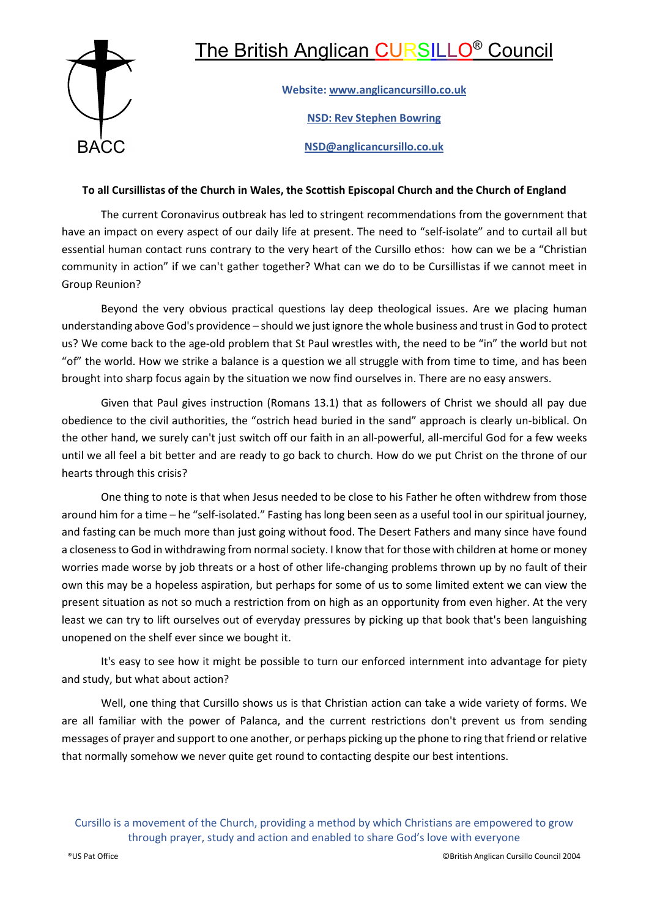## The British Anglican CURSILLO® Council



Website: www.anglicancursillo.co.uk NSD: Rev Stephen Bowring NSD@anglicancursillo.co.uk BACC

## To all Cursillistas of the Church in Wales, the Scottish Episcopal Church and the Church of England

The current Coronavirus outbreak has led to stringent recommendations from the government that have an impact on every aspect of our daily life at present. The need to "self-isolate" and to curtail all but essential human contact runs contrary to the very heart of the Cursillo ethos: how can we be a "Christian community in action" if we can't gather together? What can we do to be Cursillistas if we cannot meet in Group Reunion?

Beyond the very obvious practical questions lay deep theological issues. Are we placing human understanding above God's providence – should we just ignore the whole business and trust in God to protect us? We come back to the age-old problem that St Paul wrestles with, the need to be "in" the world but not "of" the world. How we strike a balance is a question we all struggle with from time to time, and has been brought into sharp focus again by the situation we now find ourselves in. There are no easy answers.

Given that Paul gives instruction (Romans 13.1) that as followers of Christ we should all pay due obedience to the civil authorities, the "ostrich head buried in the sand" approach is clearly un-biblical. On the other hand, we surely can't just switch off our faith in an all-powerful, all-merciful God for a few weeks until we all feel a bit better and are ready to go back to church. How do we put Christ on the throne of our hearts through this crisis?

One thing to note is that when Jesus needed to be close to his Father he often withdrew from those around him for a time – he "self-isolated." Fasting has long been seen as a useful tool in our spiritual journey, and fasting can be much more than just going without food. The Desert Fathers and many since have found a closeness to God in withdrawing from normal society. I know that for those with children at home or money worries made worse by job threats or a host of other life-changing problems thrown up by no fault of their own this may be a hopeless aspiration, but perhaps for some of us to some limited extent we can view the present situation as not so much a restriction from on high as an opportunity from even higher. At the very least we can try to lift ourselves out of everyday pressures by picking up that book that's been languishing unopened on the shelf ever since we bought it.

It's easy to see how it might be possible to turn our enforced internment into advantage for piety and study, but what about action?

Well, one thing that Cursillo shows us is that Christian action can take a wide variety of forms. We are all familiar with the power of Palanca, and the current restrictions don't prevent us from sending messages of prayer and support to one another, or perhaps picking up the phone to ring that friend or relative that normally somehow we never quite get round to contacting despite our best intentions.

Cursillo is a movement of the Church, providing a method by which Christians are empowered to grow through prayer, study and action and enabled to share God's love with everyone